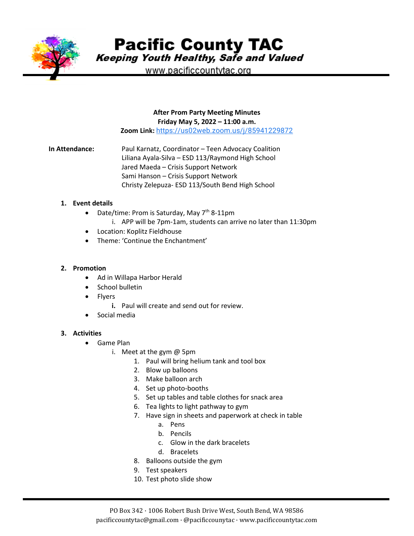

**Pacific County TAC** 

Keeping Youth Healthy, Safe and Valued

www.pacificcountytac.org

#### **After Prom Party Meeting Minutes Friday May 5, 2022 – 11:00 a.m.**

**Zoom Link:** [https://us02web.zoom.us/j/85941229872](https://www.google.com/url?q=https://us02web.zoom.us/j/85941229872&sa=D&source=calendar&usd=2&usg=AOvVaw0TDXeFCaDd_LPldEAkkbWB)

**In Attendance:** Paul Karnatz, Coordinator – Teen Advocacy Coalition Liliana Ayala-Silva – ESD 113/Raymond High School Jared Maeda – Crisis Support Network Sami Hanson – Crisis Support Network Christy Zelepuza- ESD 113/South Bend High School

#### **1. Event details**

- Date/time: Prom is Saturday, May  $7<sup>th</sup>$  8-11pm
	- i. APP will be 7pm-1am, students can arrive no later than 11:30pm
- Location: Koplitz Fieldhouse
- Theme: 'Continue the Enchantment'

## **2. Promotion**

- Ad in Willapa Harbor Herald
- School bulletin
- **Flyers** 
	- **i.** Paul will create and send out for review.
- Social media

## **3. Activities**

- Game Plan
	- i. Meet at the gym @ 5pm
		- 1. Paul will bring helium tank and tool box
		- 2. Blow up balloons
		- 3. Make balloon arch
		- 4. Set up photo-booths
		- 5. Set up tables and table clothes for snack area
		- 6. Tea lights to light pathway to gym
		- 7. Have sign in sheets and paperwork at check in table
			- a. Pens
			- b. Pencils
			- c. Glow in the dark bracelets
			- d. Bracelets
		- 8. Balloons outside the gym
		- 9. Test speakers
		- 10. Test photo slide show